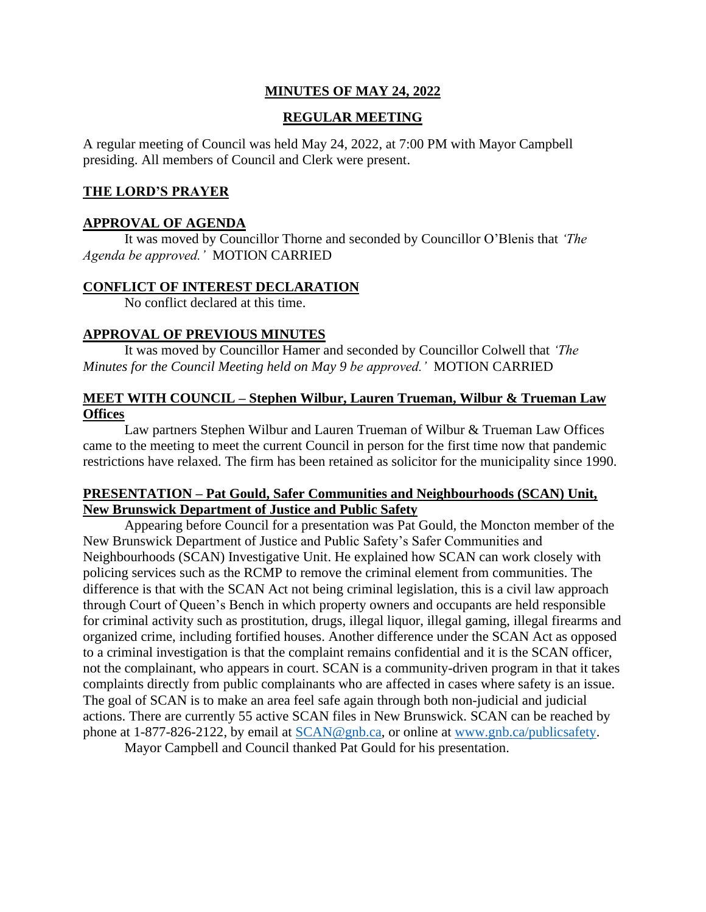# **MINUTES OF MAY 24, 2022**

# **REGULAR MEETING**

A regular meeting of Council was held May 24, 2022, at 7:00 PM with Mayor Campbell presiding. All members of Council and Clerk were present.

## **THE LORD'S PRAYER**

#### **APPROVAL OF AGENDA**

It was moved by Councillor Thorne and seconded by Councillor O'Blenis that *'The Agenda be approved.'* MOTION CARRIED

#### **CONFLICT OF INTEREST DECLARATION**

No conflict declared at this time.

## **APPROVAL OF PREVIOUS MINUTES**

It was moved by Councillor Hamer and seconded by Councillor Colwell that *'The Minutes for the Council Meeting held on May 9 be approved.'* MOTION CARRIED

# **MEET WITH COUNCIL – Stephen Wilbur, Lauren Trueman, Wilbur & Trueman Law Offices**

Law partners Stephen Wilbur and Lauren Trueman of Wilbur & Trueman Law Offices came to the meeting to meet the current Council in person for the first time now that pandemic restrictions have relaxed. The firm has been retained as solicitor for the municipality since 1990.

# **PRESENTATION – Pat Gould, Safer Communities and Neighbourhoods (SCAN) Unit, New Brunswick Department of Justice and Public Safety**

Appearing before Council for a presentation was Pat Gould, the Moncton member of the New Brunswick Department of Justice and Public Safety's Safer Communities and Neighbourhoods (SCAN) Investigative Unit. He explained how SCAN can work closely with policing services such as the RCMP to remove the criminal element from communities. The difference is that with the SCAN Act not being criminal legislation, this is a civil law approach through Court of Queen's Bench in which property owners and occupants are held responsible for criminal activity such as prostitution, drugs, illegal liquor, illegal gaming, illegal firearms and organized crime, including fortified houses. Another difference under the SCAN Act as opposed to a criminal investigation is that the complaint remains confidential and it is the SCAN officer, not the complainant, who appears in court. SCAN is a community-driven program in that it takes complaints directly from public complainants who are affected in cases where safety is an issue. The goal of SCAN is to make an area feel safe again through both non-judicial and judicial actions. There are currently 55 active SCAN files in New Brunswick. SCAN can be reached by phone at 1-877-826-2122, by email at [SCAN@gnb.ca,](mailto:SCAN@gnb.ca) or online at [www.gnb.ca/publicsafety.](http://www.gnb.ca/publicsafety)

Mayor Campbell and Council thanked Pat Gould for his presentation.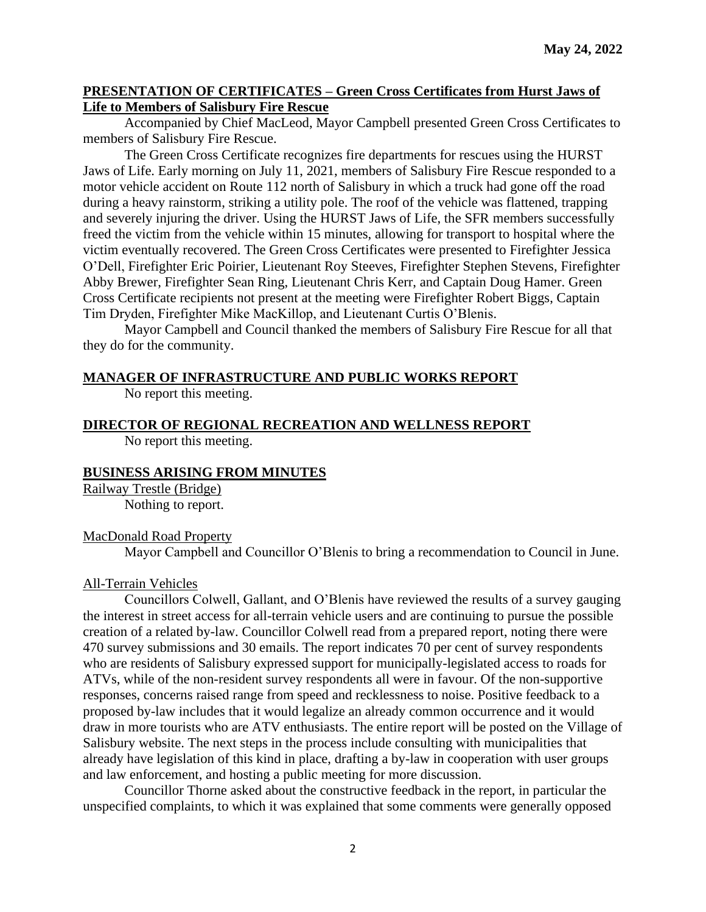## **PRESENTATION OF CERTIFICATES – Green Cross Certificates from Hurst Jaws of Life to Members of Salisbury Fire Rescue**

Accompanied by Chief MacLeod, Mayor Campbell presented Green Cross Certificates to members of Salisbury Fire Rescue.

The Green Cross Certificate recognizes fire departments for rescues using the HURST Jaws of Life. Early morning on July 11, 2021, members of Salisbury Fire Rescue responded to a motor vehicle accident on Route 112 north of Salisbury in which a truck had gone off the road during a heavy rainstorm, striking a utility pole. The roof of the vehicle was flattened, trapping and severely injuring the driver. Using the HURST Jaws of Life, the SFR members successfully freed the victim from the vehicle within 15 minutes, allowing for transport to hospital where the victim eventually recovered. The Green Cross Certificates were presented to Firefighter Jessica O'Dell, Firefighter Eric Poirier, Lieutenant Roy Steeves, Firefighter Stephen Stevens, Firefighter Abby Brewer, Firefighter Sean Ring, Lieutenant Chris Kerr, and Captain Doug Hamer. Green Cross Certificate recipients not present at the meeting were Firefighter Robert Biggs, Captain Tim Dryden, Firefighter Mike MacKillop, and Lieutenant Curtis O'Blenis.

Mayor Campbell and Council thanked the members of Salisbury Fire Rescue for all that they do for the community.

## **MANAGER OF INFRASTRUCTURE AND PUBLIC WORKS REPORT**

No report this meeting.

# **DIRECTOR OF REGIONAL RECREATION AND WELLNESS REPORT**

No report this meeting.

## **BUSINESS ARISING FROM MINUTES**

Railway Trestle (Bridge) Nothing to report.

## MacDonald Road Property

Mayor Campbell and Councillor O'Blenis to bring a recommendation to Council in June.

## All-Terrain Vehicles

Councillors Colwell, Gallant, and O'Blenis have reviewed the results of a survey gauging the interest in street access for all-terrain vehicle users and are continuing to pursue the possible creation of a related by-law. Councillor Colwell read from a prepared report, noting there were 470 survey submissions and 30 emails. The report indicates 70 per cent of survey respondents who are residents of Salisbury expressed support for municipally-legislated access to roads for ATVs, while of the non-resident survey respondents all were in favour. Of the non-supportive responses, concerns raised range from speed and recklessness to noise. Positive feedback to a proposed by-law includes that it would legalize an already common occurrence and it would draw in more tourists who are ATV enthusiasts. The entire report will be posted on the Village of Salisbury website. The next steps in the process include consulting with municipalities that already have legislation of this kind in place, drafting a by-law in cooperation with user groups and law enforcement, and hosting a public meeting for more discussion.

Councillor Thorne asked about the constructive feedback in the report, in particular the unspecified complaints, to which it was explained that some comments were generally opposed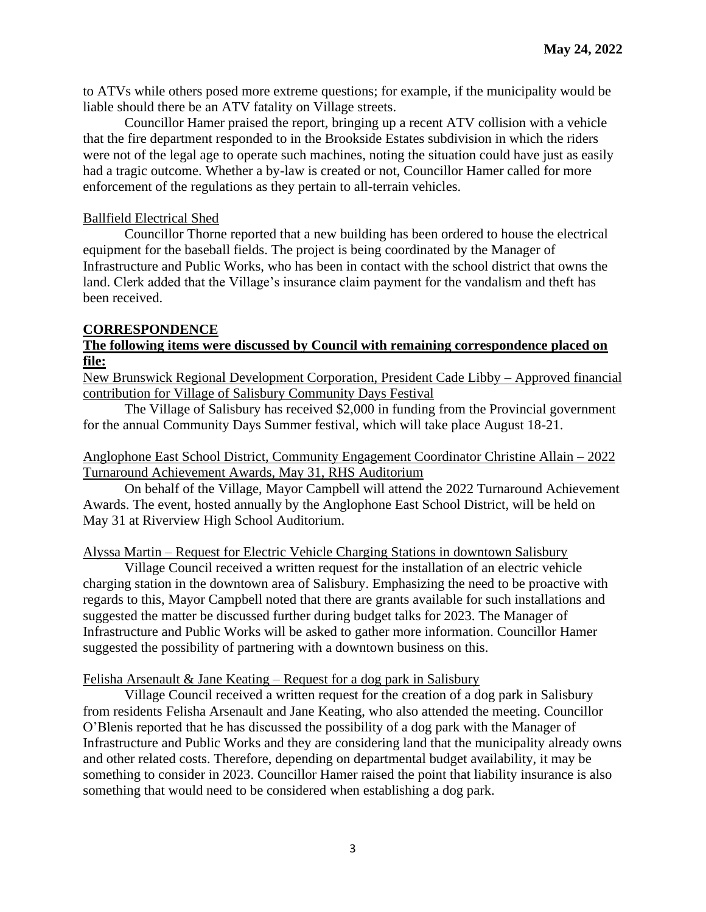to ATVs while others posed more extreme questions; for example, if the municipality would be liable should there be an ATV fatality on Village streets.

Councillor Hamer praised the report, bringing up a recent ATV collision with a vehicle that the fire department responded to in the Brookside Estates subdivision in which the riders were not of the legal age to operate such machines, noting the situation could have just as easily had a tragic outcome. Whether a by-law is created or not, Councillor Hamer called for more enforcement of the regulations as they pertain to all-terrain vehicles.

## Ballfield Electrical Shed

Councillor Thorne reported that a new building has been ordered to house the electrical equipment for the baseball fields. The project is being coordinated by the Manager of Infrastructure and Public Works, who has been in contact with the school district that owns the land. Clerk added that the Village's insurance claim payment for the vandalism and theft has been received.

## **CORRESPONDENCE**

# **The following items were discussed by Council with remaining correspondence placed on file:**

New Brunswick Regional Development Corporation, President Cade Libby – Approved financial contribution for Village of Salisbury Community Days Festival

The Village of Salisbury has received \$2,000 in funding from the Provincial government for the annual Community Days Summer festival, which will take place August 18-21.

# Anglophone East School District, Community Engagement Coordinator Christine Allain – 2022 Turnaround Achievement Awards, May 31, RHS Auditorium

On behalf of the Village, Mayor Campbell will attend the 2022 Turnaround Achievement Awards. The event, hosted annually by the Anglophone East School District, will be held on May 31 at Riverview High School Auditorium.

## Alyssa Martin – Request for Electric Vehicle Charging Stations in downtown Salisbury

Village Council received a written request for the installation of an electric vehicle charging station in the downtown area of Salisbury. Emphasizing the need to be proactive with regards to this, Mayor Campbell noted that there are grants available for such installations and suggested the matter be discussed further during budget talks for 2023. The Manager of Infrastructure and Public Works will be asked to gather more information. Councillor Hamer suggested the possibility of partnering with a downtown business on this.

## Felisha Arsenault & Jane Keating – Request for a dog park in Salisbury

Village Council received a written request for the creation of a dog park in Salisbury from residents Felisha Arsenault and Jane Keating, who also attended the meeting. Councillor O'Blenis reported that he has discussed the possibility of a dog park with the Manager of Infrastructure and Public Works and they are considering land that the municipality already owns and other related costs. Therefore, depending on departmental budget availability, it may be something to consider in 2023. Councillor Hamer raised the point that liability insurance is also something that would need to be considered when establishing a dog park.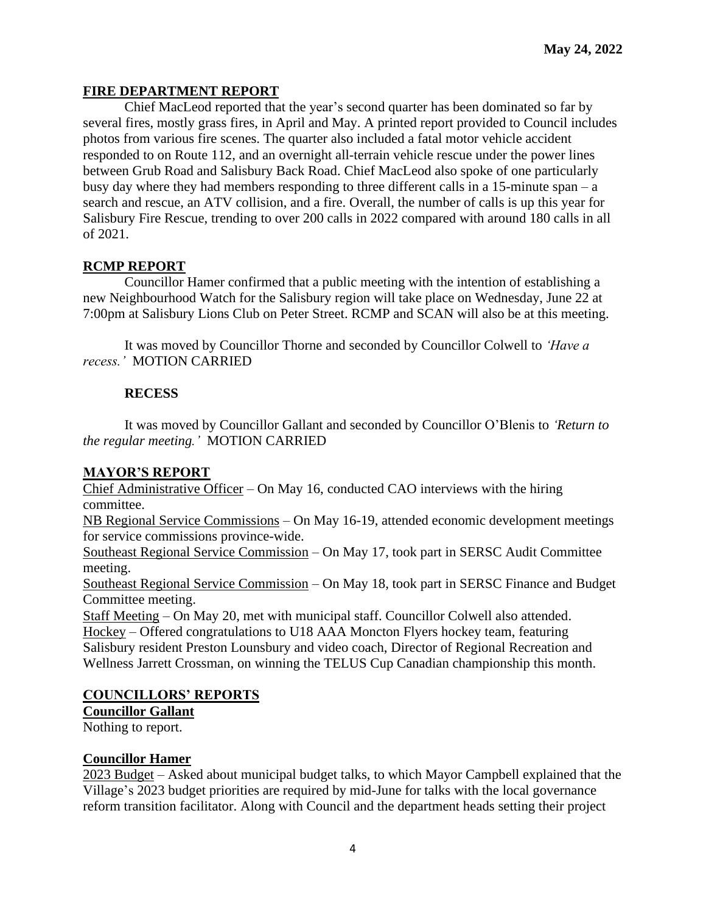# **FIRE DEPARTMENT REPORT**

Chief MacLeod reported that the year's second quarter has been dominated so far by several fires, mostly grass fires, in April and May. A printed report provided to Council includes photos from various fire scenes. The quarter also included a fatal motor vehicle accident responded to on Route 112, and an overnight all-terrain vehicle rescue under the power lines between Grub Road and Salisbury Back Road. Chief MacLeod also spoke of one particularly busy day where they had members responding to three different calls in a 15-minute span – a search and rescue, an ATV collision, and a fire. Overall, the number of calls is up this year for Salisbury Fire Rescue, trending to over 200 calls in 2022 compared with around 180 calls in all of 2021.

# **RCMP REPORT**

Councillor Hamer confirmed that a public meeting with the intention of establishing a new Neighbourhood Watch for the Salisbury region will take place on Wednesday, June 22 at 7:00pm at Salisbury Lions Club on Peter Street. RCMP and SCAN will also be at this meeting.

It was moved by Councillor Thorne and seconded by Councillor Colwell to *'Have a recess.'* MOTION CARRIED

# **RECESS**

It was moved by Councillor Gallant and seconded by Councillor O'Blenis to *'Return to the regular meeting.'* MOTION CARRIED

## **MAYOR'S REPORT**

Chief Administrative Officer – On May 16, conducted CAO interviews with the hiring committee.

NB Regional Service Commissions – On May 16-19, attended economic development meetings for service commissions province-wide.

Southeast Regional Service Commission – On May 17, took part in SERSC Audit Committee meeting.

Southeast Regional Service Commission – On May 18, took part in SERSC Finance and Budget Committee meeting.

Staff Meeting – On May 20, met with municipal staff. Councillor Colwell also attended. Hockey – Offered congratulations to U18 AAA Moncton Flyers hockey team, featuring Salisbury resident Preston Lounsbury and video coach, Director of Regional Recreation and Wellness Jarrett Crossman, on winning the TELUS Cup Canadian championship this month.

# **COUNCILLORS' REPORTS**

**Councillor Gallant**

Nothing to report.

## **Councillor Hamer**

2023 Budget – Asked about municipal budget talks, to which Mayor Campbell explained that the Village's 2023 budget priorities are required by mid-June for talks with the local governance reform transition facilitator. Along with Council and the department heads setting their project